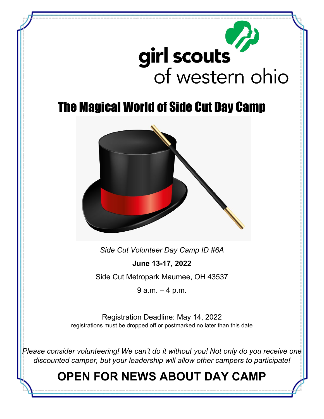

# The Magical World of Side Cut Day Camp



*Side Cut Volunteer Day Camp ID #6A*

**June 13-17, 2022** Side Cut Metropark Maumee, OH 43537

9 a.m. – 4 p.m.

Registration Deadline: May 14, 2022 registrations must be dropped off or postmarked no later than this date

*Please consider volunteering! We can't do it without you! Not only do you receive one discounted camper, but your leadership will allow other campers to participate!*

# **OPEN FOR NEWS ABOUT DAY CAMP**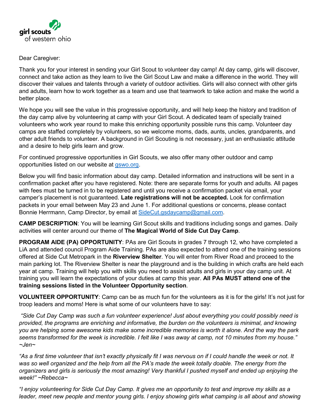

#### Dear Caregiver:

Thank you for your interest in sending your Girl Scout to volunteer day camp! At day camp, girls will discover, connect and take action as they learn to live the Girl Scout Law and make a difference in the world. They will discover their values and talents through a variety of outdoor activities. Girls will also connect with other girls and adults, learn how to work together as a team and use that teamwork to take action and make the world a better place.

We hope you will see the value in this progressive opportunity, and will help keep the history and tradition of the day camp alive by volunteering at camp with your Girl Scout. A dedicated team of specially trained volunteers who work year round to make this enriching opportunity possible runs this camp. Volunteer day camps are staffed completely by volunteers, so we welcome moms, dads, aunts, uncles, grandparents, and other adult friends to volunteer. A background in Girl Scouting is not necessary, just an enthusiastic attitude and a desire to help girls learn and grow.

For continued progressive opportunities in Girl Scouts, we also offer many other outdoor and camp opportunities listed on our website at gswo.org.

Below you will find basic information about day camp. Detailed information and instructions will be sent in a confirmation packet after you have registered. Note: there are separate forms for youth and adults. All pages with fees must be turned in to be registered and until you receive a confirmation packet via email, your camper's placement is not guaranteed. **Late registrations will not be accepted.** Look for confirmation packets in your email between May 23 and June 1. For additional questions or concerns, please contact Bonnie Herrmann, Camp Director, by email at SideCut.gsdaycamp@gmail.com.

**CAMP DESCRIPTION**: You will be learning Girl Scout skills and traditions including songs and games. Daily activities will center around our theme of **The Magical World of Side Cut Day Camp**.

**PROGRAM AIDE (PA) OPPORTUNITY**: PAs are Girl Scouts in grades 7 through 12, who have completed a LiA and attended council Program Aide Training. PAs are also expected to attend one of the training sessions offered at Side Cut Metropark in the **Riverview Shelter**. You will enter from River Road and proceed to the main parking lot. The Riverview Shelter is near the playground and is the building in which crafts are held each year at camp. Training will help you with skills you need to assist adults and girls in your day camp unit. At training you will learn the expectations of your duties at camp this year. **All PAs MUST attend one of the training sessions listed in the Volunteer Opportunity section**.

**VOLUNTEER OPPORTUNITY**: Camp can be as much fun for the volunteers as it is for the girls! It's not just for troop leaders and moms! Here is what some of our volunteers have to say:

 *"Side Cut Day Camp was such a fun volunteer experience! Just about everything you could possibly need is provided, the programs are enriching and informative, the burden on the volunteers is minimal, and knowing you are helping some awesome kids make some incredible memories is worth it alone. And the way the park seems transformed for the week is incredible. I felt like I was away at camp, not 10 minutes from my house." ~Jen~*

*"As a first time volunteer that isn't exactly physically fit I was nervous on if I could handle the week or not. It was so well organized and the help from all the PA's made the week totally doable. The energy from the organizers and girls is seriously the most amazing! Very thankful I pushed myself and ended up enjoying the week!" ~Rebecca~* 

*"I enjoy volunteering for Side Cut Day Camp. It gives me an opportunity to test and improve my skills as a leader, meet new people and mentor young girls. I enjoy showing girls what camping is all about and showing*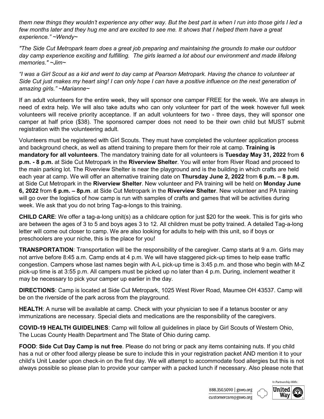*them new things they wouldn't experience any other way. But the best part is when I run into those girls I led a*  few months later and they hug me and are excited to see me. It shows that I helped them have a great *experience." ~Wendy~* 

*"The Side Cut Metropark team does a great job preparing and maintaining the grounds to make our outdoor day camp experience exciting and fulfilling. The girls learned a lot about our environment and made lifelong memories." ~Jim~*

*"I was a Girl Scout as a kid and went to day camp at Pearson Metropark. Having the chance to volunteer at Side Cut just makes my heart sing! I can only hope I can have a positive influence on the next generation of amazing girls." ~Marianne~*

If an adult volunteers for the entire week, they will sponsor one camper FREE for the week. We are always in need of extra help. We will also take adults who can only volunteer for part of the week however full week volunteers will receive priority acceptance. If an adult volunteers for two - three days, they will sponsor one camper at half price (\$38). The sponsored camper does not need to be their own child but MUST submit registration with the volunteering adult.

Volunteers must be registered with Girl Scouts. They must have completed the volunteer application process and background check, as well as attend training to prepare them for their role at camp. **Training is mandatory for all volunteers**. The mandatory training date for all volunteers is **Tuesday May 31, 2022** from **6 p.m. - 8 p.m.** at Side Cut Metropark in the **Riverview Shelter**. You will enter from River Road and proceed to the main parking lot. The Riverview Shelter is near the playground and is the building in which crafts are held each year at camp. We will offer an alternative training date on **Thursday June 2, 2022** from **6 p.m. – 8 p.m.** at Side Cut Metropark in the **Riverview Shelter**. New volunteer and PA training will be held on **Monday June 6, 2022** from **6 p.m. – 8p.m**. at Side Cut Metropark in the **Riverview Shelter**. New volunteer and PA training will go over the logistics of how camp is run with samples of crafts and games that will be activities during week. We ask that you do not bring Tag-a-longs to this training.

**CHILD CARE**: We offer a tag-a-long unit(s) as a childcare option for just \$20 for the week. This is for girls who are between the ages of 3 to 5 and boys ages 3 to 12. All children must be potty trained. A detailed Tag-a-long letter will come out closer to camp. We are also looking for adults to help with this unit, so if boys or preschoolers are your niche, this is the place for you!

**TRANSPORTATION**: Transportation will be the responsibility of the caregiver. Camp starts at 9 a.m. Girls may not arrive before 8:45 a.m. Camp ends at 4 p.m. We will have staggered pick-up times to help ease traffic congestion. Campers whose last names begin with A-L pick-up time is 3:45 p.m. and those who begin with M-Z pick-up time is at 3:55 p.m. All campers must be picked up no later than 4 p.m. During, inclement weather it may be necessary to pick your camper up earlier in the day.

**DIRECTIONS**: Camp is located at Side Cut Metropark, 1025 West River Road, Maumee OH 43537. Camp will be on the riverside of the park across from the playground.

**HEALTH**: A nurse will be available at camp. Check with your physician to see if a tetanus booster or any immunizations are necessary. Special diets and medications are the responsibility of the caregivers.

**COVID-19 HEALTH GUIDELINES**: Camp will follow all guidelines in place by Girl Scouts of Western Ohio, The Lucas County Health Department and The State of Ohio during camp.

**FOOD**: **Side Cut Day Camp is nut free**. Please do not bring or pack any items containing nuts. If you child has a nut or other food allergy please be sure to include this in your registration packet AND mention it to your child's Unit Leader upon check-in on the first day. We will attempt to accommodate food allergies but this is not always possible so please plan to provide your camper with a packed lunch if necessary. Also please note that

> In Partnership With: United a

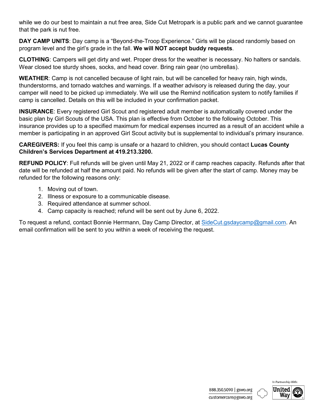while we do our best to maintain a nut free area, Side Cut Metropark is a public park and we cannot guarantee that the park is nut free.

DAY CAMP UNITS: Day camp is a "Beyond-the-Troop Experience." Girls will be placed randomly based on program level and the girl's grade in the fall. **We will NOT accept buddy requests**.

**CLOTHING**: Campers will get dirty and wet. Proper dress for the weather is necessary. No halters or sandals. Wear closed toe sturdy shoes, socks, and head cover. Bring rain gear (no umbrellas).

**WEATHER**: Camp is not cancelled because of light rain, but will be cancelled for heavy rain, high winds, thunderstorms, and tornado watches and warnings. If a weather advisory is released during the day, your camper will need to be picked up immediately. We will use the Remind notification system to notify families if camp is cancelled. Details on this will be included in your confirmation packet.

**INSURANCE**: Every registered Girl Scout and registered adult member is automatically covered under the basic plan by Girl Scouts of the USA. This plan is effective from October to the following October. This insurance provides up to a specified maximum for medical expenses incurred as a result of an accident while a member is participating in an approved Girl Scout activity but is supplemental to individual's primary insurance.

**CAREGIVERS:** If you feel this camp is unsafe or a hazard to children, you should contact **Lucas County Children's Services Department at 419.213.3200.** 

**REFUND POLICY**: Full refunds will be given until May 21, 2022 or if camp reaches capacity. Refunds after that date will be refunded at half the amount paid. No refunds will be given after the start of camp. Money may be refunded for the following reasons only:

- 1. Moving out of town.
- 2. Illness or exposure to a communicable disease.
- 3. Required attendance at summer school.
- 4. Camp capacity is reached; refund will be sent out by June 6, 2022.

To request a refund, contact Bonnie Herrmann, Day Camp Director, at [SideCut.gsdaycamp@gmail.com.](mailto:SideCut.gsdaycamp@gmail.com) An email confirmation will be sent to you within a week of receiving the request.

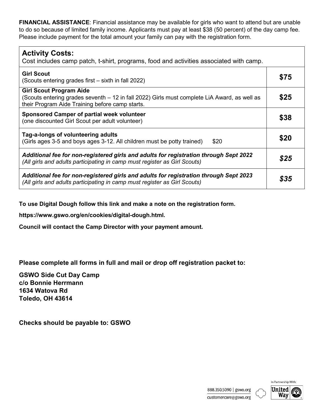**FINANCIAL ASSISTANCE**: Financial assistance may be available for girls who want to attend but are unable to do so because of limited family income. Applicants must pay at least \$38 (50 percent) of the day camp fee. Please include payment for the total amount your family can pay with the registration form.

| <b>Activity Costs:</b><br>Cost includes camp patch, t-shirt, programs, food and activities associated with camp.                                                                  |      |
|-----------------------------------------------------------------------------------------------------------------------------------------------------------------------------------|------|
| <b>Girl Scout</b><br>(Scouts entering grades first – sixth in fall 2022)                                                                                                          | \$75 |
| <b>Girl Scout Program Aide</b><br>(Scouts entering grades seventh – 12 in fall 2022) Girls must complete LiA Award, as well as<br>their Program Aide Training before camp starts. | \$25 |
| Sponsored Camper of partial week volunteer<br>(one discounted Girl Scout per adult volunteer)                                                                                     | \$38 |
| Tag-a-longs of volunteering adults<br>(Girls ages 3-5 and boys ages 3-12. All children must be potty trained)<br>\$20                                                             | \$20 |
| Additional fee for non-registered girls and adults for registration through Sept 2022<br>(All girls and adults participating in camp must register as Girl Scouts)                | \$25 |
| Additional fee for non-registered girls and adults for registration through Sept 2023<br>(All girls and adults participating in camp must register as Girl Scouts)                | \$35 |

**To use Digital Dough follow this link and make a note on the registration form.**

**https://www.gswo.org/en/cookies/digital-dough.html.** 

**Council will contact the Camp Director with your payment amount.**

**Please complete all forms in full and mail or drop off registration packet to:**

**GSWO Side Cut Day Camp c/o Bonnie Herrmann 1634 Watova Rd Toledo, OH 43614**

**Checks should be payable to: GSWO**

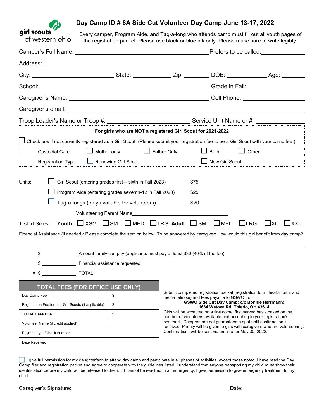

### **Day Camp ID # 6A Side Cut Volunteer Day Camp June 13-17, 2022**

Every camper, Program Aide, and Tag-a-long who attends camp must fill out all youth pages of the registration packet. Please use black or blue ink only. Please make sure to write legibly.

|                                                                                                                                              |                                                             |                                                                                                                          |                                                                                                                                                | Prefers to be called: Prefers to be called:                                                                                                                                                                                          |
|----------------------------------------------------------------------------------------------------------------------------------------------|-------------------------------------------------------------|--------------------------------------------------------------------------------------------------------------------------|------------------------------------------------------------------------------------------------------------------------------------------------|--------------------------------------------------------------------------------------------------------------------------------------------------------------------------------------------------------------------------------------|
|                                                                                                                                              |                                                             |                                                                                                                          |                                                                                                                                                |                                                                                                                                                                                                                                      |
| City: __________________________________State: _______________Zip: ____________DOB: _____________________Age: ______________                 |                                                             |                                                                                                                          |                                                                                                                                                |                                                                                                                                                                                                                                      |
|                                                                                                                                              |                                                             |                                                                                                                          |                                                                                                                                                | Grade in Fall: <u>Canadian Community of the Senator Community of the Senator Community of the Senator Community of the Senator Community of the Senator Community of the Senator Community of the Senator Community of the Senat</u> |
| Caregiver's Name: University of the Caregiver's Name:                                                                                        |                                                             |                                                                                                                          |                                                                                                                                                | Cell Phone: <u>Call Phone</u>                                                                                                                                                                                                        |
|                                                                                                                                              |                                                             |                                                                                                                          |                                                                                                                                                |                                                                                                                                                                                                                                      |
|                                                                                                                                              |                                                             |                                                                                                                          |                                                                                                                                                |                                                                                                                                                                                                                                      |
|                                                                                                                                              | For girls who are NOT a registered Girl Scout for 2021-2022 |                                                                                                                          |                                                                                                                                                |                                                                                                                                                                                                                                      |
| Check box if not currently registered as a Girl Scout. (Please submit your registration fee to be a Girl Scout with your camp fee.)          |                                                             |                                                                                                                          |                                                                                                                                                |                                                                                                                                                                                                                                      |
| Custodial Care:                                                                                                                              | $\Box$ Mother only                                          | $\Box$ Father Only                                                                                                       | $\Box$ Both                                                                                                                                    |                                                                                                                                                                                                                                      |
| Registration Type:                                                                                                                           | Renewing Girl Scout                                         |                                                                                                                          | New Girl Scout                                                                                                                                 |                                                                                                                                                                                                                                      |
| Units:<br>Girl Scout (entering grades first - sixth in Fall 2023)<br>Program Aide (entering grades seventh-12 in Fall 2023)                  |                                                             |                                                                                                                          | \$75<br>\$25                                                                                                                                   |                                                                                                                                                                                                                                      |
| Tag-a-longs (only available for volunteers)                                                                                                  |                                                             |                                                                                                                          | \$20                                                                                                                                           |                                                                                                                                                                                                                                      |
|                                                                                                                                              | Volunteering Parent Name                                    |                                                                                                                          |                                                                                                                                                |                                                                                                                                                                                                                                      |
| Youth: $\Box$ XSM $\Box$ SM $\Box$ MED $\Box$ LRG Adult: $\Box$ SM<br>T-shirt Sizes:                                                         |                                                             |                                                                                                                          | $\Box$ MED                                                                                                                                     | $L$ LRG<br>$\exists$ XXL<br>$\sqcup$ XL                                                                                                                                                                                              |
| Financial Assistance (if needed): Please complete the section below. To be answered by caregiver: How would this girl benefit from day camp? |                                                             |                                                                                                                          |                                                                                                                                                |                                                                                                                                                                                                                                      |
| \$ ______________________ Amount family can pay (applicants must pay at least \$30 (40% of the fee)                                          |                                                             |                                                                                                                          |                                                                                                                                                |                                                                                                                                                                                                                                      |
|                                                                                                                                              |                                                             |                                                                                                                          |                                                                                                                                                |                                                                                                                                                                                                                                      |
|                                                                                                                                              |                                                             |                                                                                                                          |                                                                                                                                                |                                                                                                                                                                                                                                      |
| <b>TOTAL FEES (FOR OFFICE USE ONLY)</b>                                                                                                      |                                                             |                                                                                                                          |                                                                                                                                                |                                                                                                                                                                                                                                      |
| Day Camp Fee                                                                                                                                 | \$                                                          | Submit completed registration packet (registration form, health form, and<br>media release) and fees payable to GSWO to: |                                                                                                                                                |                                                                                                                                                                                                                                      |
| \$<br>Registration Fee for non-Girl Scouts (if applicable)                                                                                   |                                                             |                                                                                                                          | GSWO Side Cut Day Camp; c/o Bonnie Herrmann;<br>1634 Watova Rd; Toledo, OH 43614                                                               |                                                                                                                                                                                                                                      |
| <b>TOTAL Fees Due</b>                                                                                                                        | \$                                                          |                                                                                                                          | Girls will be accepted on a first come, first served basis based on the<br>number of volunteers available and according to your registration's |                                                                                                                                                                                                                                      |
| Volunteer Name (if credit applied)                                                                                                           |                                                             |                                                                                                                          | postmark. Campers are not guaranteed a spot until confirmation is                                                                              | received. Priority will be given to girls with caregivers who are volunteering.                                                                                                                                                      |
| Payment type/Check number                                                                                                                    |                                                             | Confirmations will be sent via email after May 30, 2022.                                                                 |                                                                                                                                                |                                                                                                                                                                                                                                      |
| Date Received                                                                                                                                |                                                             |                                                                                                                          |                                                                                                                                                |                                                                                                                                                                                                                                      |

I give full permission for my daughter/son to attend day camp and participate in all phases of activities, except those noted. I have read the Day Camp flier and registration packet and agree to cooperate with the guidelines listed. I understand that anyone transporting my child must show their identification before my child will be released to them. If I cannot be reached in an emergency, I give permission to give emergency treatment to my child.

Caregiver's Signature: Date: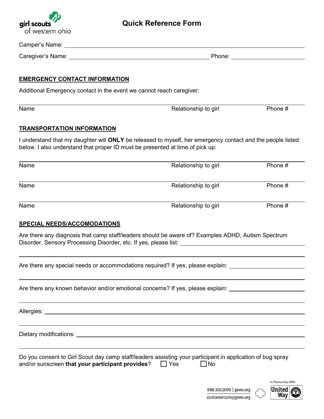

# **Quick Reference Form**

| Caregiver's Name: University of the Caregiver's Name:                         |                                                                                                                                 |                                                                     |
|-------------------------------------------------------------------------------|---------------------------------------------------------------------------------------------------------------------------------|---------------------------------------------------------------------|
| <u>EMERGENCY CONTACT INFORMATION</u>                                          |                                                                                                                                 |                                                                     |
| Additional Emergency contact in the event we cannot reach caregiver:          |                                                                                                                                 |                                                                     |
| Name                                                                          | Relationship to girl                                                                                                            | Phone #                                                             |
| <b>TRANSPORTATION INFORMATION</b>                                             |                                                                                                                                 |                                                                     |
| below. I also understand that proper ID must be presented at time of pick up: | I understand that my daughter will ONLY be released to myself, her emergency contact and the people listed                      |                                                                     |
| Name                                                                          | Relationship to girl                                                                                                            | Phone #                                                             |
| Name                                                                          | Relationship to girl                                                                                                            | Phone #                                                             |
| Name                                                                          | Relationship to girl                                                                                                            | Phone #                                                             |
| <b>SPECIAL NEEDS/ACCOMODATIONS</b>                                            |                                                                                                                                 |                                                                     |
|                                                                               | Are there any diagnosis that camp staff/leaders should be aware of? Examples ADHD, Autism Spectrum                              |                                                                     |
|                                                                               | Are there any special needs or accommodations required? If yes, please explain:                                                 |                                                                     |
|                                                                               | Are there any known behavior and/or emotional concerns? If yes, please explain: ____________________                            |                                                                     |
|                                                                               |                                                                                                                                 |                                                                     |
|                                                                               |                                                                                                                                 |                                                                     |
| and/or sunscreen that your participant provides?                              | Do you consent to Girl Scout day camp staff/leaders assisting your participant in application of bug spray<br>$\Box$ Yes<br>JNo |                                                                     |
|                                                                               | 888.350.5090   gswo.org                                                                                                         | In Partnership With:<br>United $\textcolor{red}{\textcircled{\pi}}$ |

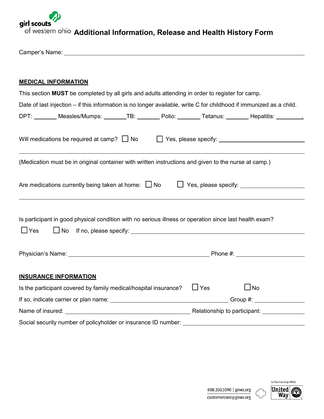

Camper's Name:

### **MEDICAL INFORMATION**

| This section MUST be completed by all girls and adults attending in order to register for camp.                      |                         |
|----------------------------------------------------------------------------------------------------------------------|-------------------------|
| Date of last injection – if this information is no longer available, write C for childhood if immunized as a child.  |                         |
| DPT: ________ Measles/Mumps: _______TB: _______ Polio: _______ Tetanus: _______ Hepatitis: ________.                 |                         |
| Will medications be required at camp? $\Box$ No $\Box$ Yes, please specify: ____________________________             |                         |
| (Medication must be in original container with written instructions and given to the nurse at camp.)                 |                         |
| Are medications currently being taken at home: $\Box$ No $\Box$ Yes, please specify: $\Box$                          |                         |
| Is participant in good physical condition with no serious illness or operation since last health exam?<br>$\Box$ Yes |                         |
|                                                                                                                      |                         |
| <b>INSURANCE INFORMATION</b>                                                                                         |                         |
| Is the participant covered by family medical/hospital insurance?                                                     | $\Box$ Yes<br>$\Box$ No |
|                                                                                                                      |                         |
| Name of insured: <u>contract the contract of the contract of the Relationship to participant:</u>                    |                         |
|                                                                                                                      |                         |

Social security number of policyholder or insurance ID number: \_\_\_\_\_\_\_\_\_\_\_\_\_\_\_\_\_

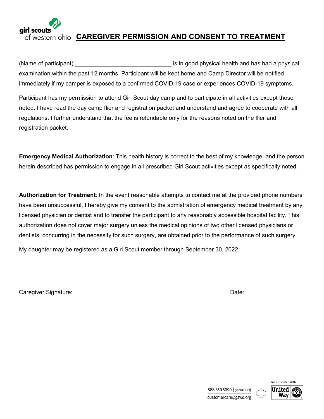

# of western ohio **CAREGIVER PERMISSION AND CONSENT TO TREATMENT**

(Name of participant) <u>is in good</u> physical health and has had a physical examination within the past 12 months. Participant will be kept home and Camp Director will be notified immediately if my camper is exposed to a confirmed COVID-19 case or experiences COVID-19 symptoms.

Participant has my permission to attend Girl Scout day camp and to participate in all activities except those noted. I have read the day camp flier and registration packet and understand and agree to cooperate with all regulations. I further understand that the fee is refundable only for the reasons noted on the flier and registration packet.

**Emergency Medical Authorization**: This health history is correct to the best of my knowledge, and the person herein described has permission to engage in all prescribed Girl Scout activities except as specifically noted.

**Authorization for Treatment**: In the event reasonable attempts to contact me at the provided phone numbers have been unsuccessful, I hereby give my consent to the admistration of emergency medical treatment by any licensed physician or dentist and to transfer the participant to any reasonably accessible hospital facility. This authorization does not cover major surgery unless the medical opinions of two other licensed physicians or dentists, concurring in the necessity for such surgery, are obtained prior to the performance of such surgery.

My daughter may be registered as a Girl Scout member through September 30, 2022.

Caregiver Signature: Date:

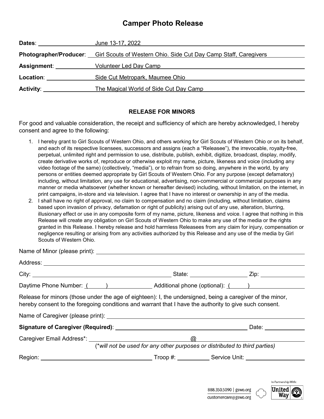## **Camper Photo Release**

| Dates: <b>Dates:</b>  | June 13-17, 2022                                                                               |
|-----------------------|------------------------------------------------------------------------------------------------|
|                       | <b>Photographer/Producer:</b> Girl Scouts of Western Ohio. Side Cut Day Camp Staff, Caregivers |
| Assignment: _________ | Volunteer Led Day Camp                                                                         |
| Location:             | Side Cut Metropark, Maumee Ohio                                                                |
| Activity:             | The Magical World of Side Cut Day Camp                                                         |

#### **RELEASE FOR MINORS**

For good and valuable consideration, the receipt and sufficiency of which are hereby acknowledged, I hereby consent and agree to the following:

- 1. I hereby grant to Girl Scouts of Western Ohio, and others working for Girl Scouts of Western Ohio or on its behalf, and each of its respective licensees, successors and assigns (each a "Releasee"), the irrevocable, royalty-free, perpetual, unlimited right and permission to use, distribute, publish, exhibit, digitize, broadcast, display, modify, create derivative works of, reproduce or otherwise exploit my name, picture, likeness and voice (including any video footage of the same) (collectively, "media"), or to refrain from so doing, anywhere in the world, by any persons or entities deemed appropriate by Girl Scouts of Western Ohio. For any purpose (except defamatory) including, without limitation, any use for educational, advertising, non-commercial or commercial purposes in any manner or media whatsoever (whether known or hereafter devised) including, without limitation, on the internet, in print campaigns, in-store and via television. I agree that I have no interest or ownership in any of the media.
- 2. I shall have no right of approval, no claim to compensation and no claim (including, without limitation, claims based upon invasion of privacy, defamation or right of publicity) arising out of any use, alteration, blurring, illusionary effect or use in any composite form of my name, picture, likeness and voice. I agree that nothing in this Release will create any obligation on Girl Scouts of Western Ohio to make any use of the media or the rights granted in this Release. I hereby release and hold harmless Releasees from any claim for injury, compensation or negligence resulting or arising from any activities authorized by this Release and any use of the media by Girl Scouts of Western Ohio.

Name of Minor (please print):

| Address: ___________________________                                                                                                                                                                                |                                                                            |                |
|---------------------------------------------------------------------------------------------------------------------------------------------------------------------------------------------------------------------|----------------------------------------------------------------------------|----------------|
|                                                                                                                                                                                                                     |                                                                            |                |
|                                                                                                                                                                                                                     |                                                                            |                |
| Release for minors (those under the age of eighteen): I, the undersigned, being a caregiver of the minor,<br>hereby consent to the foregoing conditions and warrant that I have the authority to give such consent. |                                                                            |                |
|                                                                                                                                                                                                                     |                                                                            |                |
|                                                                                                                                                                                                                     |                                                                            | Date: ________ |
|                                                                                                                                                                                                                     | ര                                                                          |                |
|                                                                                                                                                                                                                     | (*will not be used for any other purposes or distributed to third parties) |                |
|                                                                                                                                                                                                                     |                                                                            |                |

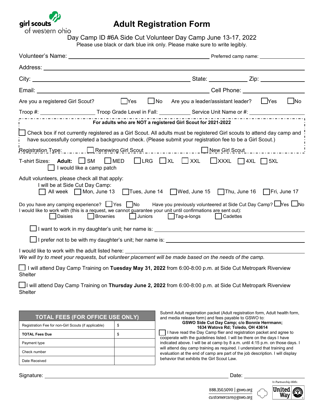

## **Adult Registration Form**

Day Camp ID #6A Side Cut Volunteer Day Camp June 13-17, 2022 Please use black or dark blue ink only. Please make sure to write legibly.

| │ Yes<br>Are you a registered Girl Scout?                                                                                                                                                                                                                                                      | $\Box$ No | Are you a leader/assistant leader? [Pres                                     |  | $\Box$ No |
|------------------------------------------------------------------------------------------------------------------------------------------------------------------------------------------------------------------------------------------------------------------------------------------------|-----------|------------------------------------------------------------------------------|--|-----------|
| Troop #: ________________________Troop Grade Level in Fall: _____________Service Unit Name or #: ___________________                                                                                                                                                                           |           |                                                                              |  |           |
| For adults who are NOT a registered Girl Scout for 2021-2022                                                                                                                                                                                                                                   |           |                                                                              |  |           |
| □ Check box if not currently registered as a Girl Scout. All adults must be registered Girl scouts to attend day camp and<br>have successfully completed a background check. (Please submit your registration fee to be a Girl Scout.)                                                         |           |                                                                              |  |           |
| Registration Type:  Renewing Girl Scout  New Girl Scout                                                                                                                                                                                                                                        |           |                                                                              |  |           |
| T-shirt Sizes: Adult: SM<br>I would like a camp patch                                                                                                                                                                                                                                          |           | $\Box$ MED $\Box$ LRG $\Box$ XL $\Box$ XXL $\Box$ XXXL $\Box$ 4XL $\Box$ 5XL |  |           |
| Adult volunteers, please check all that apply:<br>I will be at Side Cut Day Camp:<br>All week $\Box$ Mon, June 13 $\Box$ Tues, June 14 $\Box$ Wed, June 15 $\Box$ Thu, June 16 $\Box$ Fri, June 17                                                                                             |           |                                                                              |  |           |
| Do you have any camping experience? $\Box$ Yes $\Box$ No Have you previously volunteered at Side Cut Day Camp? $\Box$ Yes $\Box$ No<br>I would like to work with (this is a request, we cannot guarantee your unit until confirmations are sent out):<br>Juniors<br><b>Brownies</b><br>Daisies |           | Tag-a-longs   Cadettes                                                       |  |           |
| l want to work in my daughter's unit; her name is: _____________________________                                                                                                                                                                                                               |           |                                                                              |  |           |
|                                                                                                                                                                                                                                                                                                |           |                                                                              |  |           |
| I would like to work with the adult listed here:<br>We will try to meet your requests, but volunteer placement will be made based on the needs of the camp.                                                                                                                                    |           |                                                                              |  |           |
| $\Box$ I will attend Day Camp Training on <b>Tuesday May 31, 2022</b> from 6:00-8:00 p.m. at Side Cut Metropark Riverview                                                                                                                                                                      |           |                                                                              |  |           |

Shelter

 I will attend Day Camp Training on **Thursday June 2, 2022** from 6:00-8:00 p.m. at Side Cut Metropark Riverview **Shelter** 

| <b>TOTAL FEES (FOR OFFICE USE ONLY)</b>              |    |  |
|------------------------------------------------------|----|--|
| Registration Fee for non-Girl Scouts (if applicable) | \$ |  |
| <b>TOTAL Fees Due</b>                                | \$ |  |
| Payment type                                         |    |  |
| Check number                                         |    |  |
| Date Received                                        |    |  |

Submit Adult registration packet (Adult registration form, Adult health form, and media release form) and fees payable to GSWO to: **GSWO Side Cut Day Camp; c/o Bonnie Herrmann;** 

**1634 Watova Rd; Toledo, OH 43614**

 I have read the Day Camp flier and registration packet and agree to cooperate with the guidelines listed. I will be there on the days I have indicated above. I will be at camp by 8 a.m. until 4:15 p.m. on those days. I will attend day camp training as required. I understand that training and evaluation at the end of camp are part of the job description. I will display behavior that exhibits the Girl Scout Law.

Signature: Date:



888.350.5090 | gswo.org customercare@gswo.org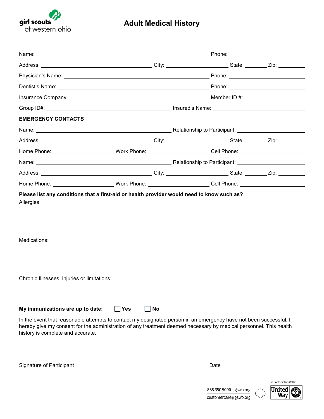

# **Adult Medical History**

| <b>EMERGENCY CONTACTS</b>                                                                                                                                                                                                                                                                                       |                         |  |  |
|-----------------------------------------------------------------------------------------------------------------------------------------------------------------------------------------------------------------------------------------------------------------------------------------------------------------|-------------------------|--|--|
|                                                                                                                                                                                                                                                                                                                 |                         |  |  |
|                                                                                                                                                                                                                                                                                                                 |                         |  |  |
| Home Phone: ___________________________Work Phone: _________________________Cell Phone: ______________________                                                                                                                                                                                                  |                         |  |  |
|                                                                                                                                                                                                                                                                                                                 |                         |  |  |
|                                                                                                                                                                                                                                                                                                                 |                         |  |  |
| Home Phone: __________________________Work Phone: _________________________Cell Phone: _______________________                                                                                                                                                                                                  |                         |  |  |
| Please list any conditions that a first-aid or health provider would need to know such as?<br>Allergies:<br>Medications:<br>Chronic Illnesses, injuries or limitations:                                                                                                                                         |                         |  |  |
| My immunizations are up to date:<br>In the event that reasonable attempts to contact my designated person in an emergency have not been successful, I<br>hereby give my consent for the administration of any treatment deemed necessary by medical personnel. This health<br>history is complete and accurate. | $\Box$ Yes<br>$\Box$ No |  |  |

Signature of Participant **Date** 

 $\ddot{\phantom{a}}$ 

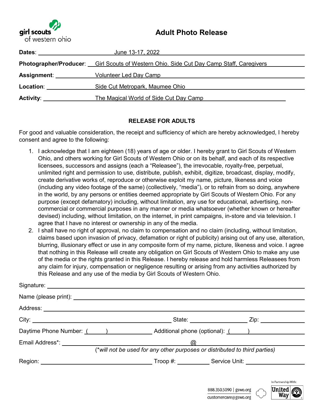## **Adult Photo Release**



| Dates:                | June 13-17, 2022                                                                        |
|-----------------------|-----------------------------------------------------------------------------------------|
|                       | Photographer/Producer: Girl Scouts of Western Ohio. Side Cut Day Camp Staff, Caregivers |
| Assignment: _________ | Volunteer Led Day Camp                                                                  |
| <b>Location:</b>      | Side Cut Metropark, Maumee Ohio                                                         |
| <b>Activity:</b>      | The Magical World of Side Cut Day Camp                                                  |

## **RELEASE FOR ADULTS**

For good and valuable consideration, the receipt and sufficiency of which are hereby acknowledged, I hereby consent and agree to the following:

- create derivative works of, reproduce or otherwise exploit my name, picture, likeness and voice (including any video footage of the same) (collectively, "media"), or to refrain from so doing, anywhere 1. I acknowledge that I am eighteen (18) years of age or older. I hereby grant to Girl Scouts of Western in the world, by any persons or entities deemed appropriate by Girl Scouts of Western Ohio. For any purpose (except defamatory) including, without limitation, any use for educational, advertising, noncommercial or commercial purposes in any manner or media whatsoever (whether known or hereafter devised) including, without limitation, on the internet, in print campaigns, in-store and via television. I agree that I have no interest or ownership in any of the media. Ohio, and others working for Girl Scouts of Western Ohio or on its behalf, and each of its respective licensees, successors and assigns (each a "Releasee"), the irrevocable, royalty-free, perpetual, unlimited right and permission to use, distribute, publish, exhibit, digitize, broadcast, display, modify,
- 2. I shall have no right of approval, no claim to compensation and no claim (including, without limitation, claims based upon invasion of privacy, defamation or right of publicity) arising out of any use, alteration, blurring, illusionary effect or use in any composite form of my name, picture, likeness and voice. I agree that nothing in this Release will create any obligation on Girl Scouts of Western Ohio to make any use of the media or the rights granted in this Release. I hereby release and hold harmless Releasees from any claim for injury, compensation or negligence resulting or arising from any activities authorized by this Release and any use of the media by Girl Scouts of Western Ohio.

|                                                            |                                                                            | State: <u>Zip: Zip:</u> |
|------------------------------------------------------------|----------------------------------------------------------------------------|-------------------------|
| Daytime Phone Number: ( ) Additional phone (optional): ( ) |                                                                            |                         |
|                                                            |                                                                            | $\omega$                |
|                                                            | (*will not be used for any other purposes or distributed to third parties) |                         |
|                                                            |                                                                            |                         |
|                                                            |                                                                            |                         |
|                                                            |                                                                            |                         |



In Partnership With: